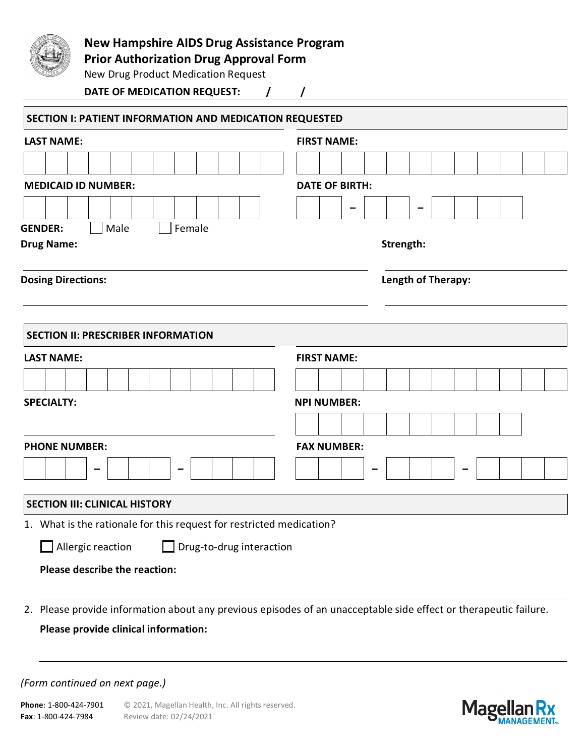

# **New Hampshire AIDS Drug Assistance Program**

**Prior Authorization Drug Approval Form**

New Drug Product Medication Request

**DATE OF MEDICATION REQUEST: / /**

| <b>LAST NAME:</b>                                                                                                                                                     | <b>FIRST NAME:</b>    |  |  |  |  |  |  |  |  |  |  |  |  |  |
|-----------------------------------------------------------------------------------------------------------------------------------------------------------------------|-----------------------|--|--|--|--|--|--|--|--|--|--|--|--|--|
|                                                                                                                                                                       |                       |  |  |  |  |  |  |  |  |  |  |  |  |  |
|                                                                                                                                                                       |                       |  |  |  |  |  |  |  |  |  |  |  |  |  |
| <b>MEDICAID ID NUMBER:</b>                                                                                                                                            | <b>DATE OF BIRTH:</b> |  |  |  |  |  |  |  |  |  |  |  |  |  |
|                                                                                                                                                                       |                       |  |  |  |  |  |  |  |  |  |  |  |  |  |
| Female<br><b>GENDER:</b><br>Male                                                                                                                                      |                       |  |  |  |  |  |  |  |  |  |  |  |  |  |
| <b>Drug Name:</b>                                                                                                                                                     | Strength:             |  |  |  |  |  |  |  |  |  |  |  |  |  |
| <b>Dosing Directions:</b>                                                                                                                                             | Length of Therapy:    |  |  |  |  |  |  |  |  |  |  |  |  |  |
|                                                                                                                                                                       |                       |  |  |  |  |  |  |  |  |  |  |  |  |  |
| <b>SECTION II: PRESCRIBER INFORMATION</b>                                                                                                                             |                       |  |  |  |  |  |  |  |  |  |  |  |  |  |
| <b>LAST NAME:</b>                                                                                                                                                     | <b>FIRST NAME:</b>    |  |  |  |  |  |  |  |  |  |  |  |  |  |
|                                                                                                                                                                       |                       |  |  |  |  |  |  |  |  |  |  |  |  |  |
| <b>SPECIALTY:</b>                                                                                                                                                     | <b>NPI NUMBER:</b>    |  |  |  |  |  |  |  |  |  |  |  |  |  |
|                                                                                                                                                                       |                       |  |  |  |  |  |  |  |  |  |  |  |  |  |
|                                                                                                                                                                       |                       |  |  |  |  |  |  |  |  |  |  |  |  |  |
|                                                                                                                                                                       |                       |  |  |  |  |  |  |  |  |  |  |  |  |  |
|                                                                                                                                                                       | <b>FAX NUMBER:</b>    |  |  |  |  |  |  |  |  |  |  |  |  |  |
|                                                                                                                                                                       |                       |  |  |  |  |  |  |  |  |  |  |  |  |  |
|                                                                                                                                                                       |                       |  |  |  |  |  |  |  |  |  |  |  |  |  |
|                                                                                                                                                                       |                       |  |  |  |  |  |  |  |  |  |  |  |  |  |
| $\Box$ Drug-to-drug interaction<br>Allergic reaction                                                                                                                  |                       |  |  |  |  |  |  |  |  |  |  |  |  |  |
| <b>PHONE NUMBER:</b><br><b>SECTION III: CLINICAL HISTORY</b><br>1. What is the rationale for this request for restricted medication?<br>Please describe the reaction: |                       |  |  |  |  |  |  |  |  |  |  |  |  |  |

**Please provide clinical information:**

#### *(Form continued on next page.)*

Phone: 1-800-424-7901 © 2021, Magellan Health, Inc. All rights reserved. **Fax**: 1-800-424-7984 Review date: 02/24/2021